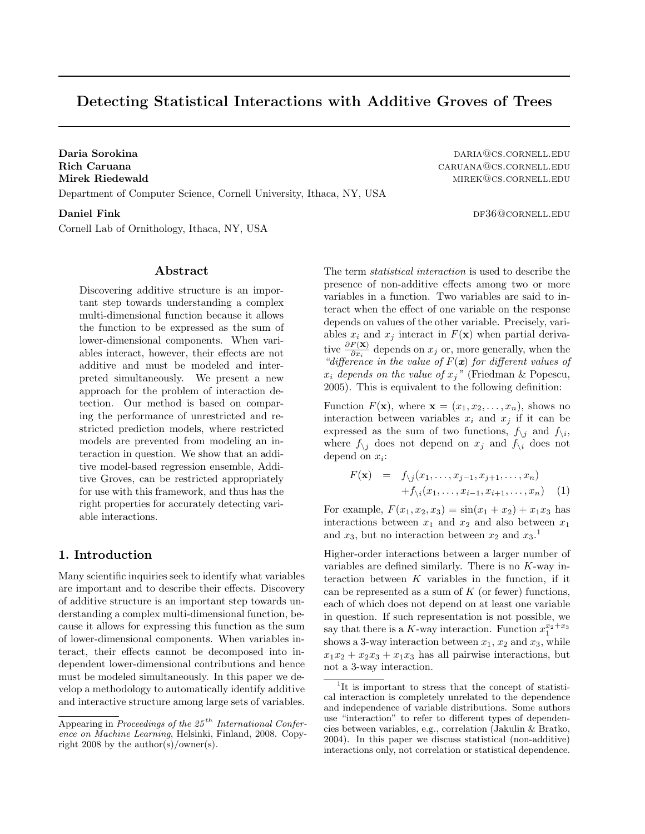# Detecting Statistical Interactions with Additive Groves of Trees

Daria Sorokina daria dari berikut dari berikut dari berikut dan dari berikut dan dari berikut. Dan dan dari be Rich Caruana caruana caruana caruana caruana caruana caruana caruana caruana caruana caruana caruana caruana caru Mirek Riedewald mirek and mirek Riedewald mirek and mirek and mirek and mirek and mirek and mirek and mirek and mirek and mirek and mirek and mirek and mirek and mirek and mirek and mirek and mirek and mirek and mirek and Department of Computer Science, Cornell University, Ithaca, NY, USA

Cornell Lab of Ornithology, Ithaca, NY, USA

## Abstract

Discovering additive structure is an important step towards understanding a complex multi-dimensional function because it allows the function to be expressed as the sum of lower-dimensional components. When variables interact, however, their effects are not additive and must be modeled and interpreted simultaneously. We present a new approach for the problem of interaction detection. Our method is based on comparing the performance of unrestricted and restricted prediction models, where restricted models are prevented from modeling an interaction in question. We show that an additive model-based regression ensemble, Additive Groves, can be restricted appropriately for use with this framework, and thus has the right properties for accurately detecting variable interactions.

### 1. Introduction

Many scientific inquiries seek to identify what variables are important and to describe their effects. Discovery of additive structure is an important step towards understanding a complex multi-dimensional function, because it allows for expressing this function as the sum of lower-dimensional components. When variables interact, their effects cannot be decomposed into independent lower-dimensional contributions and hence must be modeled simultaneously. In this paper we develop a methodology to automatically identify additive and interactive structure among large sets of variables.

**Daniel Fink** density of the set of the set of the set of the set of the set of the set of the set of the set of the set of the set of the set of the set of the set of the set of the set of the set of the set of the set of

The term statistical interaction is used to describe the presence of non-additive effects among two or more variables in a function. Two variables are said to interact when the effect of one variable on the response depends on values of the other variable. Precisely, variables  $x_i$  and  $x_j$  interact in  $F(\mathbf{x})$  when partial derivative  $\frac{\partial F(\mathbf{X})}{\partial x_i}$  depends on  $x_j$  or, more generally, when the "difference in the value of  $F(x)$  for different values of  $x_i$  depends on the value of  $x_j$ " (Friedman & Popescu, 2005). This is equivalent to the following definition:

Function  $F(\mathbf{x})$ , where  $\mathbf{x} = (x_1, x_2, \dots, x_n)$ , shows no interaction between variables  $x_i$  and  $x_j$  if it can be expressed as the sum of two functions,  $f_{\setminus i}$  and  $f_{\setminus i}$ , where  $f_{\setminus j}$  does not depend on  $x_j$  and  $f_{\setminus i}$  does not depend on  $x_i$ :

$$
F(\mathbf{x}) = f_{\setminus j}(x_1, \dots, x_{j-1}, x_{j+1}, \dots, x_n) + f_{\setminus i}(x_1, \dots, x_{i-1}, x_{i+1}, \dots, x_n) \quad (1)
$$

For example,  $F(x_1, x_2, x_3) = \sin(x_1 + x_2) + x_1x_3$  has interactions between  $x_1$  and  $x_2$  and also between  $x_1$ and  $x_3$ , but no interaction between  $x_2$  and  $x_3$ <sup>1</sup>.

Higher-order interactions between a larger number of variables are defined similarly. There is no K-way interaction between  $K$  variables in the function, if it can be represented as a sum of  $K$  (or fewer) functions, each of which does not depend on at least one variable in question. If such representation is not possible, we say that there is a K-way interaction. Function  $x_1^{x_2+x_3}$ shows a 3-way interaction between  $x_1, x_2$  and  $x_3$ , while  $x_1x_2 + x_2x_3 + x_1x_3$  has all pairwise interactions, but not a 3-way interaction.

Appearing in Proceedings of the  $25^{th}$  International Conference on Machine Learning, Helsinki, Finland, 2008. Copyright 2008 by the author(s)/owner(s).

<sup>&</sup>lt;sup>1</sup>It is important to stress that the concept of statistical interaction is completely unrelated to the dependence and independence of variable distributions. Some authors use "interaction" to refer to different types of dependencies between variables, e.g., correlation (Jakulin & Bratko, 2004). In this paper we discuss statistical (non-additive) interactions only, not correlation or statistical dependence.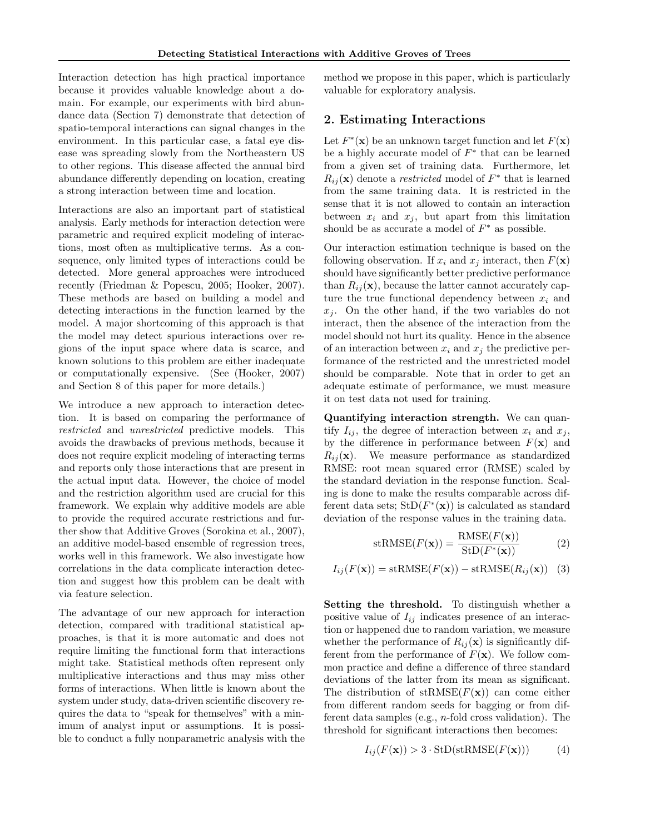Interaction detection has high practical importance because it provides valuable knowledge about a domain. For example, our experiments with bird abundance data (Section 7) demonstrate that detection of spatio-temporal interactions can signal changes in the environment. In this particular case, a fatal eye disease was spreading slowly from the Northeastern US to other regions. This disease affected the annual bird abundance differently depending on location, creating a strong interaction between time and location.

Interactions are also an important part of statistical analysis. Early methods for interaction detection were parametric and required explicit modeling of interactions, most often as multiplicative terms. As a consequence, only limited types of interactions could be detected. More general approaches were introduced recently (Friedman & Popescu, 2005; Hooker, 2007). These methods are based on building a model and detecting interactions in the function learned by the model. A major shortcoming of this approach is that the model may detect spurious interactions over regions of the input space where data is scarce, and known solutions to this problem are either inadequate or computationally expensive. (See (Hooker, 2007) and Section 8 of this paper for more details.)

We introduce a new approach to interaction detection. It is based on comparing the performance of restricted and unrestricted predictive models. This avoids the drawbacks of previous methods, because it does not require explicit modeling of interacting terms and reports only those interactions that are present in the actual input data. However, the choice of model and the restriction algorithm used are crucial for this framework. We explain why additive models are able to provide the required accurate restrictions and further show that Additive Groves (Sorokina et al., 2007), an additive model-based ensemble of regression trees, works well in this framework. We also investigate how correlations in the data complicate interaction detection and suggest how this problem can be dealt with via feature selection.

The advantage of our new approach for interaction detection, compared with traditional statistical approaches, is that it is more automatic and does not require limiting the functional form that interactions might take. Statistical methods often represent only multiplicative interactions and thus may miss other forms of interactions. When little is known about the system under study, data-driven scientific discovery requires the data to "speak for themselves" with a minimum of analyst input or assumptions. It is possible to conduct a fully nonparametric analysis with the method we propose in this paper, which is particularly valuable for exploratory analysis.

### 2. Estimating Interactions

Let  $F^*(\mathbf{x})$  be an unknown target function and let  $F(\mathbf{x})$ be a highly accurate model of  $F^*$  that can be learned from a given set of training data. Furthermore, let  $R_{ij}(\mathbf{x})$  denote a *restricted* model of  $F^*$  that is learned from the same training data. It is restricted in the sense that it is not allowed to contain an interaction between  $x_i$  and  $x_j$ , but apart from this limitation should be as accurate a model of  $F^*$  as possible.

Our interaction estimation technique is based on the following observation. If  $x_i$  and  $x_j$  interact, then  $F(\mathbf{x})$ should have significantly better predictive performance than  $R_{ij}(\mathbf{x})$ , because the latter cannot accurately capture the true functional dependency between  $x_i$  and  $x_i$ . On the other hand, if the two variables do not interact, then the absence of the interaction from the model should not hurt its quality. Hence in the absence of an interaction between  $x_i$  and  $x_j$  the predictive performance of the restricted and the unrestricted model should be comparable. Note that in order to get an adequate estimate of performance, we must measure it on test data not used for training.

Quantifying interaction strength. We can quantify  $I_{ij}$ , the degree of interaction between  $x_i$  and  $x_j$ , by the difference in performance between  $F(\mathbf{x})$  and  $R_{ii}(\mathbf{x})$ . We measure performance as standardized RMSE: root mean squared error (RMSE) scaled by the standard deviation in the response function. Scaling is done to make the results comparable across different data sets;  $\text{StD}(F^*(\mathbf{x}))$  is calculated as standard deviation of the response values in the training data.

$$
stRMSE(F(\mathbf{x})) = \frac{RMSE(F(\mathbf{x}))}{StD(F^*(\mathbf{x}))}
$$
(2)

$$
I_{ij}(F(\mathbf{x})) = \text{stRMSE}(F(\mathbf{x})) - \text{stRMSE}(R_{ij}(\mathbf{x})) \quad (3)
$$

Setting the threshold. To distinguish whether a positive value of  $I_{ij}$  indicates presence of an interaction or happened due to random variation, we measure whether the performance of  $R_{ij}(\mathbf{x})$  is significantly different from the performance of  $F(\mathbf{x})$ . We follow common practice and define a difference of three standard deviations of the latter from its mean as significant. The distribution of  $stRMSE(F(\mathbf{x}))$  can come either from different random seeds for bagging or from different data samples (e.g., n-fold cross validation). The threshold for significant interactions then becomes:

$$
I_{ij}(F(\mathbf{x})) > 3 \cdot \text{StD}(\text{stRMSE}(F(\mathbf{x}))) \tag{4}
$$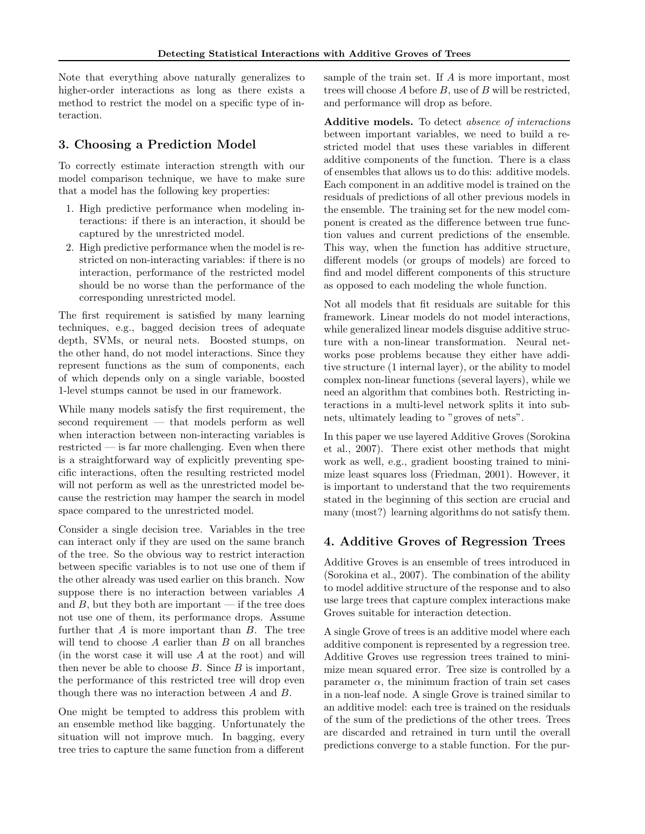Note that everything above naturally generalizes to higher-order interactions as long as there exists a method to restrict the model on a specific type of interaction.

# 3. Choosing a Prediction Model

To correctly estimate interaction strength with our model comparison technique, we have to make sure that a model has the following key properties:

- 1. High predictive performance when modeling interactions: if there is an interaction, it should be captured by the unrestricted model.
- 2. High predictive performance when the model is restricted on non-interacting variables: if there is no interaction, performance of the restricted model should be no worse than the performance of the corresponding unrestricted model.

The first requirement is satisfied by many learning techniques, e.g., bagged decision trees of adequate depth, SVMs, or neural nets. Boosted stumps, on the other hand, do not model interactions. Since they represent functions as the sum of components, each of which depends only on a single variable, boosted 1-level stumps cannot be used in our framework.

While many models satisfy the first requirement, the second requirement — that models perform as well when interaction between non-interacting variables is restricted — is far more challenging. Even when there is a straightforward way of explicitly preventing specific interactions, often the resulting restricted model will not perform as well as the unrestricted model because the restriction may hamper the search in model space compared to the unrestricted model.

Consider a single decision tree. Variables in the tree can interact only if they are used on the same branch of the tree. So the obvious way to restrict interaction between specific variables is to not use one of them if the other already was used earlier on this branch. Now suppose there is no interaction between variables A and  $B$ , but they both are important  $\overline{\phantom{a}}$  if the tree does not use one of them, its performance drops. Assume further that  $A$  is more important than  $B$ . The tree will tend to choose  $A$  earlier than  $B$  on all branches (in the worst case it will use  $A$  at the root) and will then never be able to choose  $B$ . Since  $B$  is important, the performance of this restricted tree will drop even though there was no interaction between A and B.

One might be tempted to address this problem with an ensemble method like bagging. Unfortunately the situation will not improve much. In bagging, every tree tries to capture the same function from a different sample of the train set. If A is more important, most trees will choose  $A$  before  $B$ , use of  $B$  will be restricted, and performance will drop as before.

Additive models. To detect absence of interactions between important variables, we need to build a restricted model that uses these variables in different additive components of the function. There is a class of ensembles that allows us to do this: additive models. Each component in an additive model is trained on the residuals of predictions of all other previous models in the ensemble. The training set for the new model component is created as the difference between true function values and current predictions of the ensemble. This way, when the function has additive structure, different models (or groups of models) are forced to find and model different components of this structure as opposed to each modeling the whole function.

Not all models that fit residuals are suitable for this framework. Linear models do not model interactions, while generalized linear models disguise additive structure with a non-linear transformation. Neural networks pose problems because they either have additive structure (1 internal layer), or the ability to model complex non-linear functions (several layers), while we need an algorithm that combines both. Restricting interactions in a multi-level network splits it into subnets, ultimately leading to "groves of nets".

In this paper we use layered Additive Groves (Sorokina et al., 2007). There exist other methods that might work as well, e.g., gradient boosting trained to minimize least squares loss (Friedman, 2001). However, it is important to understand that the two requirements stated in the beginning of this section are crucial and many (most?) learning algorithms do not satisfy them.

# 4. Additive Groves of Regression Trees

Additive Groves is an ensemble of trees introduced in (Sorokina et al., 2007). The combination of the ability to model additive structure of the response and to also use large trees that capture complex interactions make Groves suitable for interaction detection.

A single Grove of trees is an additive model where each additive component is represented by a regression tree. Additive Groves use regression trees trained to minimize mean squared error. Tree size is controlled by a parameter  $\alpha$ , the minimum fraction of train set cases in a non-leaf node. A single Grove is trained similar to an additive model: each tree is trained on the residuals of the sum of the predictions of the other trees. Trees are discarded and retrained in turn until the overall predictions converge to a stable function. For the pur-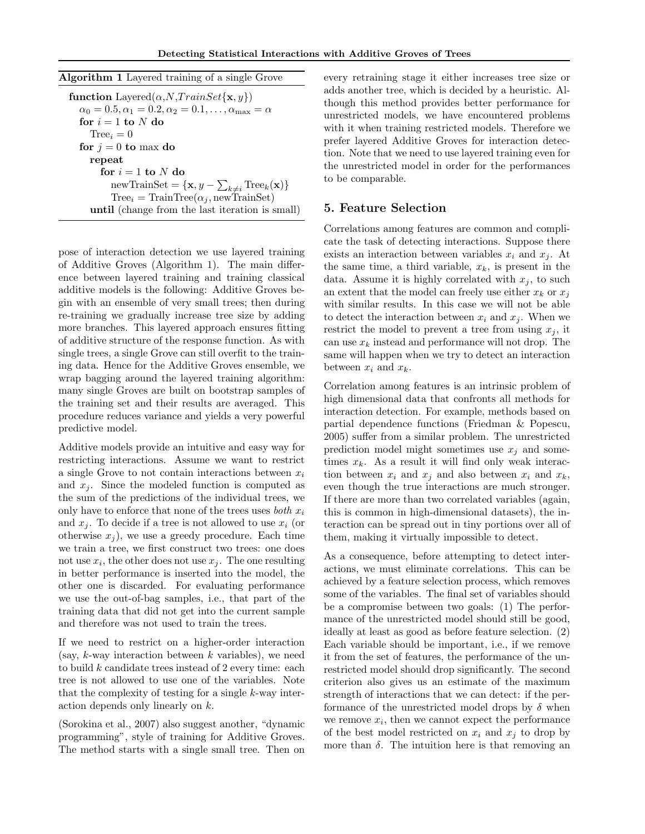| Algorithm 1 Layered training of a single Grove |  |  |  |
|------------------------------------------------|--|--|--|
|                                                |  |  |  |

function Layered $(\alpha, N, TrainSet\{{\bf x}, y\})$  $\alpha_0 = 0.5, \alpha_1 = 0.2, \alpha_2 = 0.1, \ldots, \alpha_{\text{max}} = \alpha$ for  $i = 1$  to  $N$  do  $Tree_i = 0$ for  $i = 0$  to max do repeat for  $i = 1$  to  $N$  do  $\text{newTrainSet} = {\mathbf{x}, y - \sum_{k \neq i} \text{Tree}_k(\mathbf{x})}$  $Tree_i = TrainTree(\alpha_j, newTrainSet)$ until (change from the last iteration is small)

pose of interaction detection we use layered training of Additive Groves (Algorithm 1). The main difference between layered training and training classical additive models is the following: Additive Groves begin with an ensemble of very small trees; then during re-training we gradually increase tree size by adding more branches. This layered approach ensures fitting of additive structure of the response function. As with single trees, a single Grove can still overfit to the training data. Hence for the Additive Groves ensemble, we wrap bagging around the layered training algorithm: many single Groves are built on bootstrap samples of the training set and their results are averaged. This procedure reduces variance and yields a very powerful predictive model.

Additive models provide an intuitive and easy way for restricting interactions. Assume we want to restrict a single Grove to not contain interactions between  $x_i$ and  $x_i$ . Since the modeled function is computed as the sum of the predictions of the individual trees, we only have to enforce that none of the trees uses both  $x_i$ and  $x_i$ . To decide if a tree is not allowed to use  $x_i$  (or otherwise  $x_i$ ), we use a greedy procedure. Each time we train a tree, we first construct two trees: one does not use  $x_i$ , the other does not use  $x_j$ . The one resulting in better performance is inserted into the model, the other one is discarded. For evaluating performance we use the out-of-bag samples, i.e., that part of the training data that did not get into the current sample and therefore was not used to train the trees.

If we need to restrict on a higher-order interaction (say,  $k$ -way interaction between  $k$  variables), we need to build  $k$  candidate trees instead of 2 every time: each tree is not allowed to use one of the variables. Note that the complexity of testing for a single  $k$ -way interaction depends only linearly on k.

(Sorokina et al., 2007) also suggest another, "dynamic programming", style of training for Additive Groves. The method starts with a single small tree. Then on every retraining stage it either increases tree size or adds another tree, which is decided by a heuristic. Although this method provides better performance for unrestricted models, we have encountered problems with it when training restricted models. Therefore we prefer layered Additive Groves for interaction detection. Note that we need to use layered training even for the unrestricted model in order for the performances to be comparable.

#### 5. Feature Selection

Correlations among features are common and complicate the task of detecting interactions. Suppose there exists an interaction between variables  $x_i$  and  $x_j$ . At the same time, a third variable,  $x_k$ , is present in the data. Assume it is highly correlated with  $x_i$ , to such an extent that the model can freely use either  $x_k$  or  $x_j$ with similar results. In this case we will not be able to detect the interaction between  $x_i$  and  $x_j$ . When we restrict the model to prevent a tree from using  $x_i$ , it can use  $x_k$  instead and performance will not drop. The same will happen when we try to detect an interaction between  $x_i$  and  $x_k$ .

Correlation among features is an intrinsic problem of high dimensional data that confronts all methods for interaction detection. For example, methods based on partial dependence functions (Friedman & Popescu, 2005) suffer from a similar problem. The unrestricted prediction model might sometimes use  $x_i$  and sometimes  $x_k$ . As a result it will find only weak interaction between  $x_i$  and  $x_j$  and also between  $x_i$  and  $x_k$ , even though the true interactions are much stronger. If there are more than two correlated variables (again, this is common in high-dimensional datasets), the interaction can be spread out in tiny portions over all of them, making it virtually impossible to detect.

As a consequence, before attempting to detect interactions, we must eliminate correlations. This can be achieved by a feature selection process, which removes some of the variables. The final set of variables should be a compromise between two goals: (1) The performance of the unrestricted model should still be good, ideally at least as good as before feature selection. (2) Each variable should be important, i.e., if we remove it from the set of features, the performance of the unrestricted model should drop significantly. The second criterion also gives us an estimate of the maximum strength of interactions that we can detect: if the performance of the unrestricted model drops by  $\delta$  when we remove  $x_i$ , then we cannot expect the performance of the best model restricted on  $x_i$  and  $x_j$  to drop by more than  $\delta$ . The intuition here is that removing an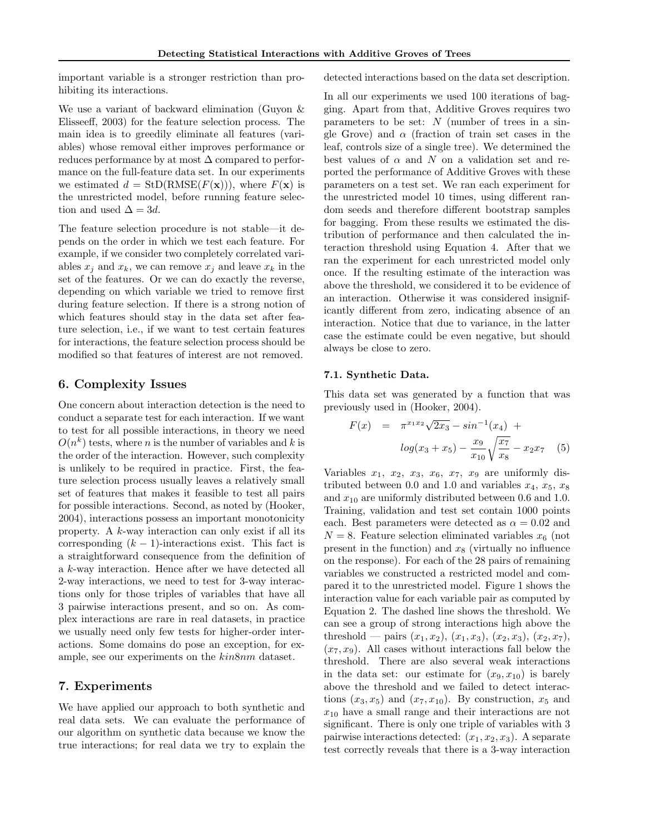important variable is a stronger restriction than prohibiting its interactions.

We use a variant of backward elimination (Guyon & Elisseeff, 2003) for the feature selection process. The main idea is to greedily eliminate all features (variables) whose removal either improves performance or reduces performance by at most  $\Delta$  compared to performance on the full-feature data set. In our experiments we estimated  $d = \text{StD}(\text{RMSE}(F(\mathbf{x})))$ , where  $F(\mathbf{x})$  is the unrestricted model, before running feature selection and used  $\Delta = 3d$ .

The feature selection procedure is not stable—it depends on the order in which we test each feature. For example, if we consider two completely correlated variables  $x_i$  and  $x_k$ , we can remove  $x_i$  and leave  $x_k$  in the set of the features. Or we can do exactly the reverse, depending on which variable we tried to remove first during feature selection. If there is a strong notion of which features should stay in the data set after feature selection, i.e., if we want to test certain features for interactions, the feature selection process should be modified so that features of interest are not removed.

### 6. Complexity Issues

One concern about interaction detection is the need to conduct a separate test for each interaction. If we want to test for all possible interactions, in theory we need  $O(n^k)$  tests, where *n* is the number of variables and *k* is the order of the interaction. However, such complexity is unlikely to be required in practice. First, the feature selection process usually leaves a relatively small set of features that makes it feasible to test all pairs for possible interactions. Second, as noted by (Hooker, 2004), interactions possess an important monotonicity property. A k-way interaction can only exist if all its corresponding  $(k - 1)$ -interactions exist. This fact is a straightforward consequence from the definition of a k-way interaction. Hence after we have detected all 2-way interactions, we need to test for 3-way interactions only for those triples of variables that have all 3 pairwise interactions present, and so on. As complex interactions are rare in real datasets, in practice we usually need only few tests for higher-order interactions. Some domains do pose an exception, for example, see our experiments on the kin8nm dataset.

#### 7. Experiments

We have applied our approach to both synthetic and real data sets. We can evaluate the performance of our algorithm on synthetic data because we know the true interactions; for real data we try to explain the detected interactions based on the data set description.

In all our experiments we used 100 iterations of bagging. Apart from that, Additive Groves requires two parameters to be set:  $N$  (number of trees in a single Grove) and  $\alpha$  (fraction of train set cases in the leaf, controls size of a single tree). We determined the best values of  $\alpha$  and N on a validation set and reported the performance of Additive Groves with these parameters on a test set. We ran each experiment for the unrestricted model 10 times, using different random seeds and therefore different bootstrap samples for bagging. From these results we estimated the distribution of performance and then calculated the interaction threshold using Equation 4. After that we ran the experiment for each unrestricted model only once. If the resulting estimate of the interaction was above the threshold, we considered it to be evidence of an interaction. Otherwise it was considered insignificantly different from zero, indicating absence of an interaction. Notice that due to variance, in the latter case the estimate could be even negative, but should always be close to zero.

#### 7.1. Synthetic Data.

This data set was generated by a function that was previously used in (Hooker, 2004).

$$
F(x) = \pi^{x_1 x_2} \sqrt{2x_3} - \sin^{-1}(x_4) + \log(x_3 + x_5) - \frac{x_9}{x_{10}} \sqrt{\frac{x_7}{x_8}} - x_2 x_7 \quad (5)
$$

Variables  $x_1$ ,  $x_2$ ,  $x_3$ ,  $x_6$ ,  $x_7$ ,  $x_9$  are uniformly distributed between 0.0 and 1.0 and variables  $x_4, x_5, x_8$ and  $x_{10}$  are uniformly distributed between 0.6 and 1.0. Training, validation and test set contain 1000 points each. Best parameters were detected as  $\alpha = 0.02$  and  $N = 8$ . Feature selection eliminated variables  $x<sub>6</sub>$  (not present in the function) and  $x_8$  (virtually no influence on the response). For each of the 28 pairs of remaining variables we constructed a restricted model and compared it to the unrestricted model. Figure 1 shows the interaction value for each variable pair as computed by Equation 2. The dashed line shows the threshold. We can see a group of strong interactions high above the threshold — pairs  $(x_1, x_2), (x_1, x_3), (x_2, x_3), (x_2, x_7),$  $(x_7, x_9)$ . All cases without interactions fall below the threshold. There are also several weak interactions in the data set: our estimate for  $(x_9, x_{10})$  is barely above the threshold and we failed to detect interactions  $(x_3, x_5)$  and  $(x_7, x_{10})$ . By construction,  $x_5$  and  $x_{10}$  have a small range and their interactions are not significant. There is only one triple of variables with 3 pairwise interactions detected:  $(x_1, x_2, x_3)$ . A separate test correctly reveals that there is a 3-way interaction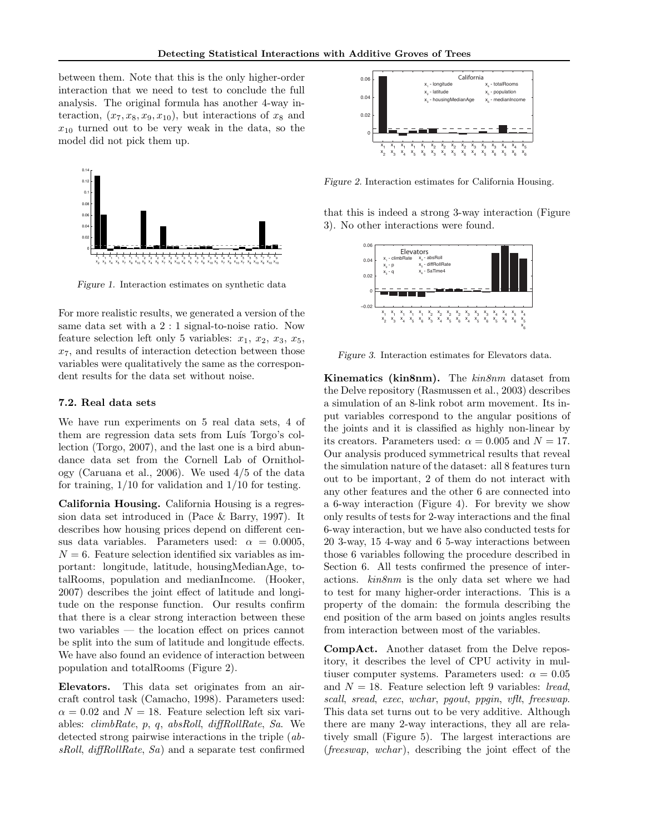between them. Note that this is the only higher-order interaction that we need to test to conclude the full analysis. The original formula has another 4-way interaction,  $(x_7, x_8, x_9, x_{10})$ , but interactions of  $x_8$  and  $x_{10}$  turned out to be very weak in the data, so the model did not pick them up.



Figure 1. Interaction estimates on synthetic data

For more realistic results, we generated a version of the same data set with a 2 : 1 signal-to-noise ratio. Now feature selection left only 5 variables:  $x_1, x_2, x_3, x_5$ ,  $x_7$ , and results of interaction detection between those variables were qualitatively the same as the correspondent results for the data set without noise.

#### 7.2. Real data sets

We have run experiments on 5 real data sets, 4 of them are regression data sets from Luís Torgo's collection (Torgo, 2007), and the last one is a bird abundance data set from the Cornell Lab of Ornithology (Caruana et al., 2006). We used 4/5 of the data for training,  $1/10$  for validation and  $1/10$  for testing.

California Housing. California Housing is a regression data set introduced in (Pace & Barry, 1997). It describes how housing prices depend on different census data variables. Parameters used:  $\alpha = 0.0005$ ,  $N = 6$ . Feature selection identified six variables as important: longitude, latitude, housingMedianAge, totalRooms, population and medianIncome. (Hooker, 2007) describes the joint effect of latitude and longitude on the response function. Our results confirm that there is a clear strong interaction between these two variables — the location effect on prices cannot be split into the sum of latitude and longitude effects. We have also found an evidence of interaction between population and totalRooms (Figure 2).

Elevators. This data set originates from an aircraft control task (Camacho, 1998). Parameters used:  $\alpha = 0.02$  and  $N = 18$ . Feature selection left six variables: climbRate, p, q, absRoll, diffRollRate, Sa. We detected strong pairwise interactions in the triple (absRoll, diffRollRate, Sa) and a separate test confirmed



Figure 2. Interaction estimates for California Housing.

that this is indeed a strong 3-way interaction (Figure 3). No other interactions were found.



Figure 3. Interaction estimates for Elevators data.

Kinematics (kin8nm). The kin8nm dataset from the Delve repository (Rasmussen et al., 2003) describes a simulation of an 8-link robot arm movement. Its input variables correspond to the angular positions of the joints and it is classified as highly non-linear by its creators. Parameters used:  $\alpha = 0.005$  and  $N = 17$ . Our analysis produced symmetrical results that reveal the simulation nature of the dataset: all 8 features turn out to be important, 2 of them do not interact with any other features and the other 6 are connected into a 6-way interaction (Figure 4). For brevity we show only results of tests for 2-way interactions and the final 6-way interaction, but we have also conducted tests for 20 3-way, 15 4-way and 6 5-way interactions between those 6 variables following the procedure described in Section 6. All tests confirmed the presence of interactions. kin8nm is the only data set where we had to test for many higher-order interactions. This is a property of the domain: the formula describing the end position of the arm based on joints angles results from interaction between most of the variables.

CompAct. Another dataset from the Delve repository, it describes the level of CPU activity in multiuser computer systems. Parameters used:  $\alpha = 0.05$ and  $N = 18$ . Feature selection left 9 variables: *lread*, scall, sread, exec, wchar, pgout, ppgin, vflt, freeswap. This data set turns out to be very additive. Although there are many 2-way interactions, they all are relatively small (Figure 5). The largest interactions are  $(freeswap, wchar)$ , describing the joint effect of the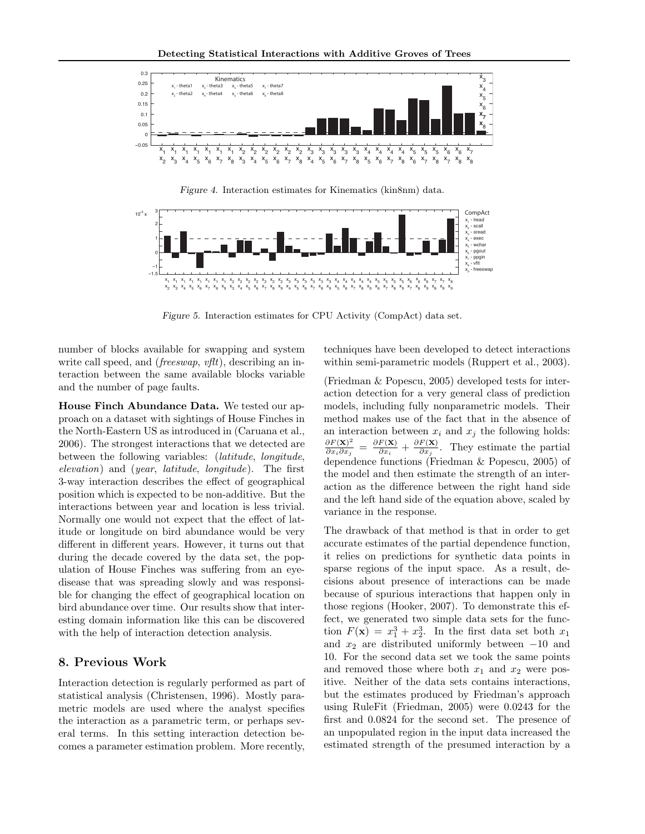

Figure 4. Interaction estimates for Kinematics (kin8nm) data.



Figure 5. Interaction estimates for CPU Activity (CompAct) data set.

number of blocks available for swapping and system write call speed, and (*freeswap*, *vflt*), describing an interaction between the same available blocks variable and the number of page faults.

House Finch Abundance Data. We tested our approach on a dataset with sightings of House Finches in the North-Eastern US as introduced in (Caruana et al., 2006). The strongest interactions that we detected are between the following variables: (latitude, longitude, elevation) and (year, latitude, longitude). The first 3-way interaction describes the effect of geographical position which is expected to be non-additive. But the interactions between year and location is less trivial. Normally one would not expect that the effect of latitude or longitude on bird abundance would be very different in different years. However, it turns out that during the decade covered by the data set, the population of House Finches was suffering from an eyedisease that was spreading slowly and was responsible for changing the effect of geographical location on bird abundance over time. Our results show that interesting domain information like this can be discovered with the help of interaction detection analysis.

## 8. Previous Work

Interaction detection is regularly performed as part of statistical analysis (Christensen, 1996). Mostly parametric models are used where the analyst specifies the interaction as a parametric term, or perhaps several terms. In this setting interaction detection becomes a parameter estimation problem. More recently, techniques have been developed to detect interactions within semi-parametric models (Ruppert et al., 2003).

(Friedman & Popescu, 2005) developed tests for interaction detection for a very general class of prediction models, including fully nonparametric models. Their method makes use of the fact that in the absence of an interaction between  $x_i$  and  $x_j$  the following holds:  $\partial F(\mathbf{X})^2$  $\overrightarrow{\partial x_i\partial x_j}$  $=\frac{\partial F(\mathbf{x})}{\partial x_i} + \frac{\partial F(\mathbf{x})}{\partial x_j}$ . They estimate the partial dependence functions (Friedman & Popescu, 2005) of the model and then estimate the strength of an interaction as the difference between the right hand side and the left hand side of the equation above, scaled by variance in the response.

The drawback of that method is that in order to get accurate estimates of the partial dependence function, it relies on predictions for synthetic data points in sparse regions of the input space. As a result, decisions about presence of interactions can be made because of spurious interactions that happen only in those regions (Hooker, 2007). To demonstrate this effect, we generated two simple data sets for the function  $F(\mathbf{x}) = x_1^3 + x_2^3$ . In the first data set both  $x_1$ and  $x_2$  are distributed uniformly between  $-10$  and 10. For the second data set we took the same points and removed those where both  $x_1$  and  $x_2$  were positive. Neither of the data sets contains interactions, but the estimates produced by Friedman's approach using RuleFit (Friedman, 2005) were 0.0243 for the first and 0.0824 for the second set. The presence of an unpopulated region in the input data increased the estimated strength of the presumed interaction by a